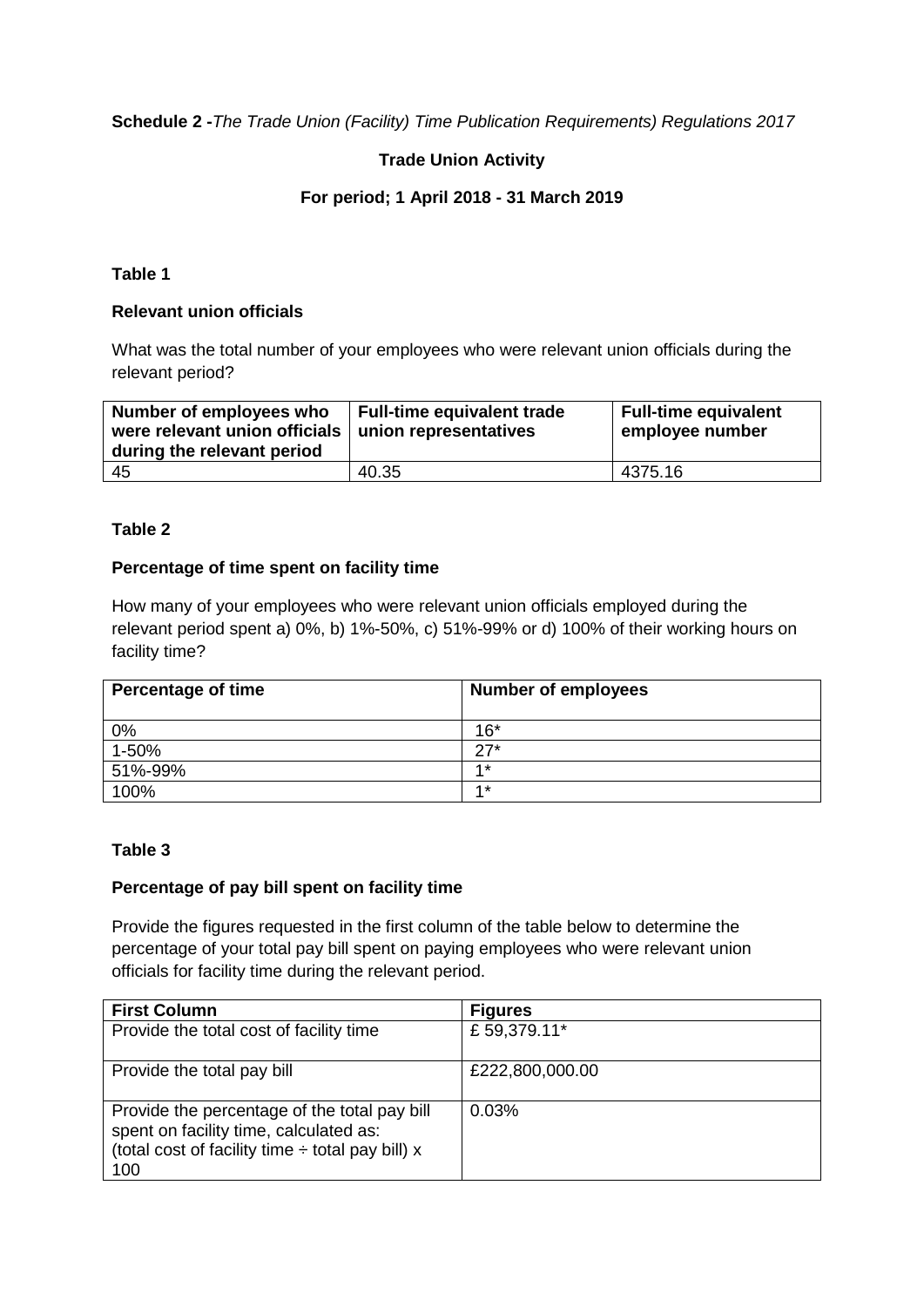**Schedule 2 -***The Trade Union (Facility) Time Publication Requirements) Regulations 2017*

# **Trade Union Activity**

# **For period; 1 April 2018 - 31 March 2019**

## **Table 1**

## **Relevant union officials**

What was the total number of your employees who were relevant union officials during the relevant period?

| Number of employees who<br>were relevant union officials   union representatives<br>during the relevant period | Full-time equivalent trade | <b>Full-time equivalent</b><br>employee number |
|----------------------------------------------------------------------------------------------------------------|----------------------------|------------------------------------------------|
| -45                                                                                                            | 40.35                      | 4375.16                                        |

### **Table 2**

### **Percentage of time spent on facility time**

How many of your employees who were relevant union officials employed during the relevant period spent a) 0%, b) 1%-50%, c) 51%-99% or d) 100% of their working hours on facility time?

| <b>Percentage of time</b> | <b>Number of employees</b> |
|---------------------------|----------------------------|
| 0%                        | $16*$                      |
| 1-50%                     | $27*$                      |
| 51%-99%                   | $4*$                       |
| 100%                      | $4*$                       |

### **Table 3**

#### **Percentage of pay bill spent on facility time**

Provide the figures requested in the first column of the table below to determine the percentage of your total pay bill spent on paying employees who were relevant union officials for facility time during the relevant period.

| <b>First Column</b>                                                                                                                                    | <b>Figures</b>  |
|--------------------------------------------------------------------------------------------------------------------------------------------------------|-----------------|
| Provide the total cost of facility time                                                                                                                | £59,379.11*     |
| Provide the total pay bill                                                                                                                             | £222,800,000.00 |
| Provide the percentage of the total pay bill<br>spent on facility time, calculated as:<br>(total cost of facility time $\div$ total pay bill) x<br>100 | 0.03%           |